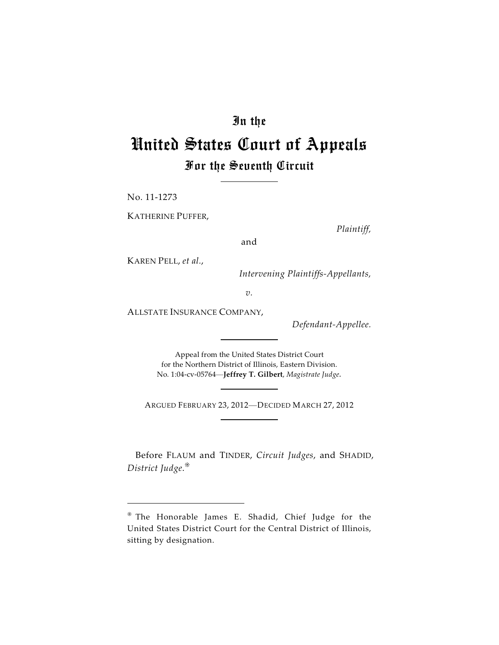# In the

# United States Court of Appeals For the Seventh Circuit

No. 11-1273

KATHERINE PUFFER,

*Plaintiff,*

and

KAREN PELL, *et al.*,

 *Intervening Plaintiffs-Appellants,*

*v.*

ALLSTATE INSURANCE COMPANY,

*Defendant-Appellee.*

Appeal from the United States District Court for the Northern District of Illinois, Eastern Division. No. 1:04-cv-05764—**Jeffrey T. Gilbert**, *Magistrate Judge.*

ARGUED FEBRUARY 23, 2012—DECIDED MARCH 27, 2012

Before FLAUM and TINDER, *Circuit Judges*, and SHADID, *District Judge*.

The Honorable James E. Shadid, Chief Judge for the United States District Court for the Central District of Illinois, sitting by designation.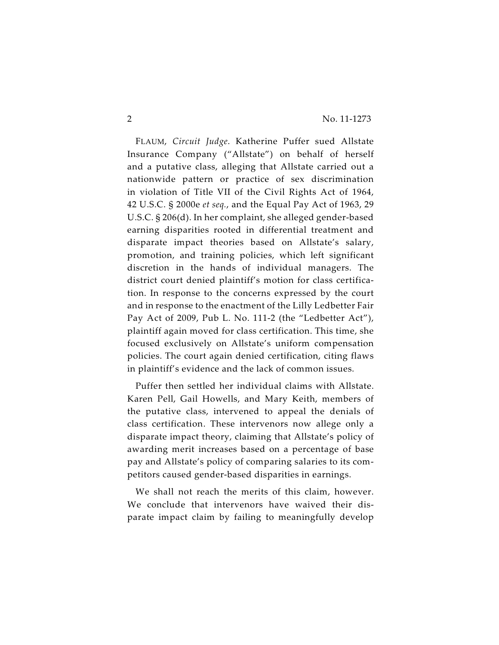FLAUM, *Circuit Judge*. Katherine Puffer sued Allstate Insurance Company ("Allstate") on behalf of herself and a putative class, alleging that Allstate carried out a nationwide pattern or practice of sex discrimination in violation of Title VII of the Civil Rights Act of 1964, 42 U.S.C. § 2000e *et seq.*, and the Equal Pay Act of 1963, 29 U.S.C. § 206(d). In her complaint, she alleged gender-based earning disparities rooted in differential treatment and disparate impact theories based on Allstate's salary, promotion, and training policies, which left significant discretion in the hands of individual managers. The district court denied plaintiff's motion for class certification. In response to the concerns expressed by the court and in response to the enactment of the Lilly Ledbetter Fair Pay Act of 2009, Pub L. No. 111-2 (the "Ledbetter Act"), plaintiff again moved for class certification. This time, she focused exclusively on Allstate's uniform compensation policies. The court again denied certification, citing flaws in plaintiff's evidence and the lack of common issues.

Puffer then settled her individual claims with Allstate. Karen Pell, Gail Howells, and Mary Keith, members of the putative class, intervened to appeal the denials of class certification. These intervenors now allege only a disparate impact theory, claiming that Allstate's policy of awarding merit increases based on a percentage of base pay and Allstate's policy of comparing salaries to its competitors caused gender-based disparities in earnings.

We shall not reach the merits of this claim, however. We conclude that intervenors have waived their disparate impact claim by failing to meaningfully develop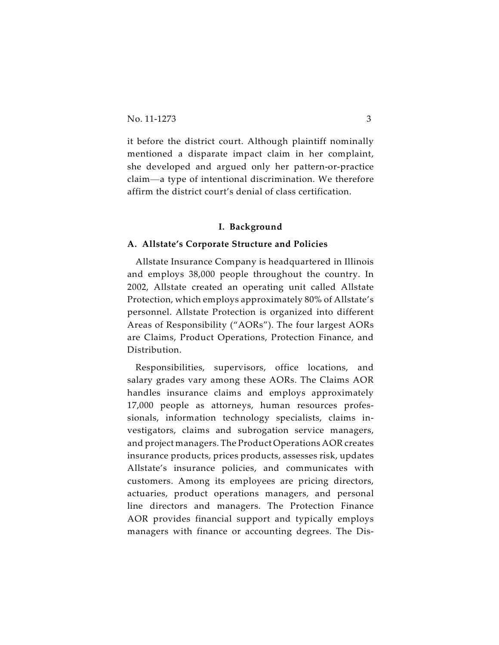it before the district court. Although plaintiff nominally mentioned a disparate impact claim in her complaint, she developed and argued only her pattern-or-practice claim—a type of intentional discrimination. We therefore affirm the district court's denial of class certification.

#### **I. Background**

#### **A. Allstate's Corporate Structure and Policies**

Allstate Insurance Company is headquartered in Illinois and employs 38,000 people throughout the country. In 2002, Allstate created an operating unit called Allstate Protection, which employs approximately 80% of Allstate's personnel. Allstate Protection is organized into different Areas of Responsibility ("AORs"). The four largest AORs are Claims, Product Operations, Protection Finance, and Distribution.

Responsibilities, supervisors, office locations, and salary grades vary among these AORs. The Claims AOR handles insurance claims and employs approximately 17,000 people as attorneys, human resources professionals, information technology specialists, claims investigators, claims and subrogation service managers, and project managers. The Product Operations AOR creates insurance products, prices products, assesses risk, updates Allstate's insurance policies, and communicates with customers. Among its employees are pricing directors, actuaries, product operations managers, and personal line directors and managers. The Protection Finance AOR provides financial support and typically employs managers with finance or accounting degrees. The Dis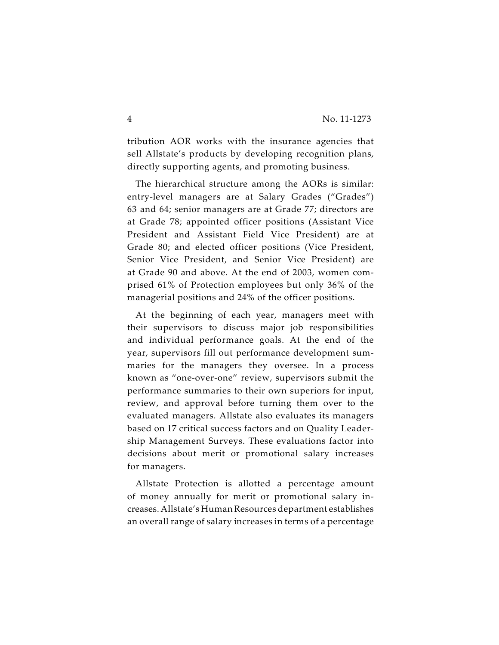tribution AOR works with the insurance agencies that sell Allstate's products by developing recognition plans, directly supporting agents, and promoting business.

The hierarchical structure among the AORs is similar: entry-level managers are at Salary Grades ("Grades") 63 and 64; senior managers are at Grade 77; directors are at Grade 78; appointed officer positions (Assistant Vice President and Assistant Field Vice President) are at Grade 80; and elected officer positions (Vice President, Senior Vice President, and Senior Vice President) are at Grade 90 and above. At the end of 2003, women comprised 61% of Protection employees but only 36% of the managerial positions and 24% of the officer positions.

At the beginning of each year, managers meet with their supervisors to discuss major job responsibilities and individual performance goals. At the end of the year, supervisors fill out performance development summaries for the managers they oversee. In a process known as "one-over-one" review, supervisors submit the performance summaries to their own superiors for input, review, and approval before turning them over to the evaluated managers. Allstate also evaluates its managers based on 17 critical success factors and on Quality Leadership Management Surveys. These evaluations factor into decisions about merit or promotional salary increases for managers.

Allstate Protection is allotted a percentage amount of money annually for merit or promotional salary increases. Allstate's Human Resources department establishes an overall range of salary increases in terms of a percentage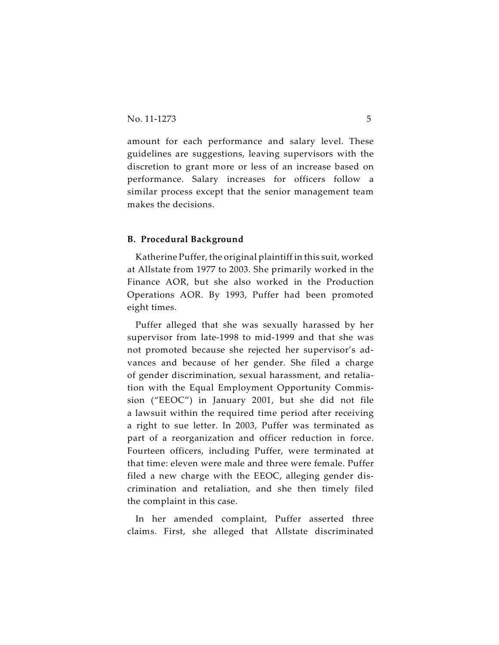amount for each performance and salary level. These guidelines are suggestions, leaving supervisors with the discretion to grant more or less of an increase based on performance. Salary increases for officers follow a similar process except that the senior management team makes the decisions.

#### **B. Procedural Background**

Katherine Puffer, the original plaintiff in this suit, worked at Allstate from 1977 to 2003. She primarily worked in the Finance AOR, but she also worked in the Production Operations AOR. By 1993, Puffer had been promoted eight times.

Puffer alleged that she was sexually harassed by her supervisor from late-1998 to mid-1999 and that she was not promoted because she rejected her supervisor's advances and because of her gender. She filed a charge of gender discrimination, sexual harassment, and retaliation with the Equal Employment Opportunity Commission ("EEOC") in January 2001, but she did not file a lawsuit within the required time period after receiving a right to sue letter. In 2003, Puffer was terminated as part of a reorganization and officer reduction in force. Fourteen officers, including Puffer, were terminated at that time: eleven were male and three were female. Puffer filed a new charge with the EEOC, alleging gender discrimination and retaliation, and she then timely filed the complaint in this case.

In her amended complaint, Puffer asserted three claims. First, she alleged that Allstate discriminated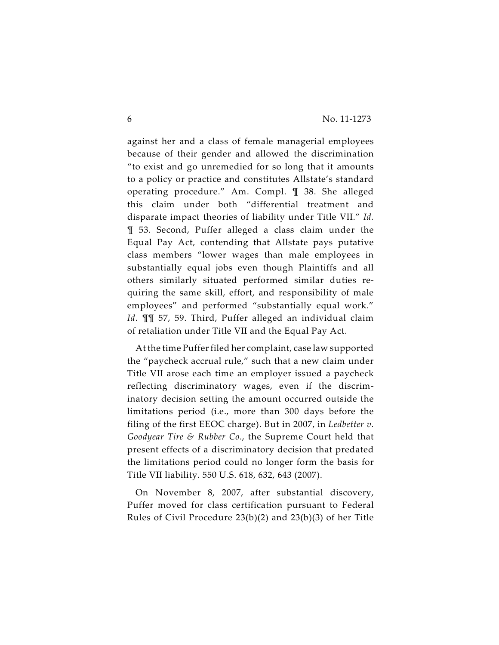against her and a class of female managerial employees because of their gender and allowed the discrimination "to exist and go unremedied for so long that it amounts to a policy or practice and constitutes Allstate's standard operating procedure." Am. Compl. ¶ 38. She alleged this claim under both "differential treatment and disparate impact theories of liability under Title VII." *Id.* ¶ 53. Second, Puffer alleged a class claim under the Equal Pay Act, contending that Allstate pays putative class members "lower wages than male employees in substantially equal jobs even though Plaintiffs and all others similarly situated performed similar duties requiring the same skill, effort, and responsibility of male employees" and performed "substantially equal work." *Id.* ¶¶ 57, 59. Third, Puffer alleged an individual claim of retaliation under Title VII and the Equal Pay Act.

At the time Puffer filed her complaint, case law supported the "paycheck accrual rule," such that a new claim under Title VII arose each time an employer issued a paycheck reflecting discriminatory wages, even if the discriminatory decision setting the amount occurred outside the limitations period (i.e., more than 300 days before the filing of the first EEOC charge). But in 2007, in *Ledbetter v. Goodyear Tire & Rubber Co.*, the Supreme Court held that present effects of a discriminatory decision that predated the limitations period could no longer form the basis for Title VII liability. 550 U.S. 618, 632, 643 (2007).

On November 8, 2007, after substantial discovery, Puffer moved for class certification pursuant to Federal Rules of Civil Procedure 23(b)(2) and 23(b)(3) of her Title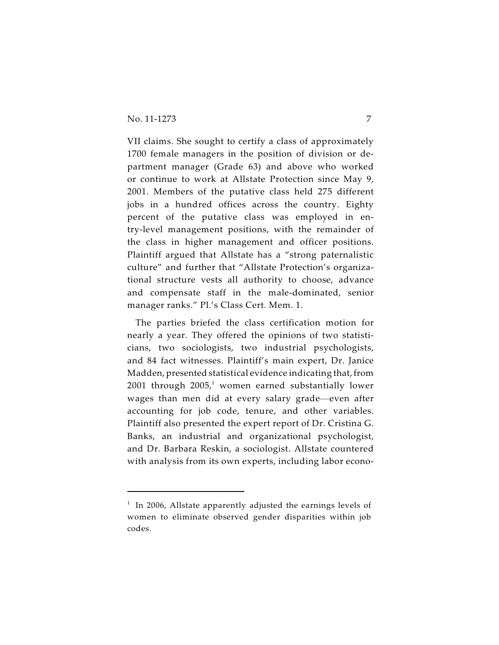VII claims. She sought to certify a class of approximately 1700 female managers in the position of division or department manager (Grade 63) and above who worked or continue to work at Allstate Protection since May 9, 2001. Members of the putative class held 275 different jobs in a hundred offices across the country. Eighty percent of the putative class was employed in entry-level management positions, with the remainder of the class in higher management and officer positions. Plaintiff argued that Allstate has a "strong paternalistic culture" and further that "Allstate Protection's organizational structure vests all authority to choose, advance and compensate staff in the male-dominated, senior manager ranks." Pl.'s Class Cert. Mem. 1.

The parties briefed the class certification motion for nearly a year. They offered the opinions of two statisticians, two sociologists, two industrial psychologists, and 84 fact witnesses. Plaintiff's main expert, Dr. Janice Madden, presented statistical evidence indicating that, from 2001 through  $2005<sup>1</sup>$  women earned substantially lower wages than men did at every salary grade—even after accounting for job code, tenure, and other variables. Plaintiff also presented the expert report of Dr. Cristina G. Banks, an industrial and organizational psychologist, and Dr. Barbara Reskin, a sociologist. Allstate countered with analysis from its own experts, including labor econo-

 $1$  In 2006, Allstate apparently adjusted the earnings levels of women to eliminate observed gender disparities within job codes.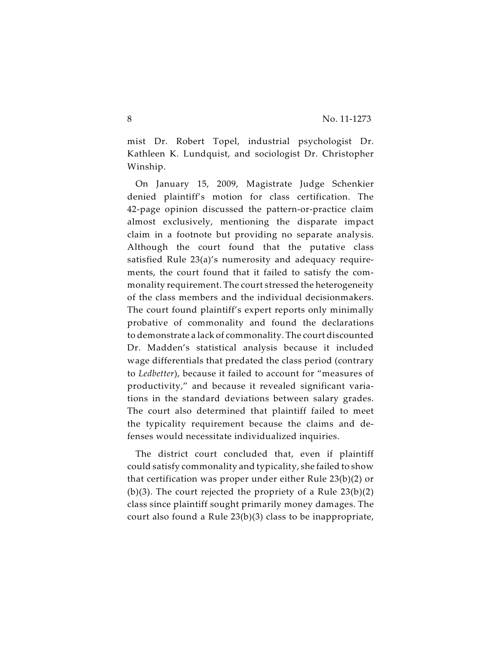mist Dr. Robert Topel, industrial psychologist Dr. Kathleen K. Lundquist, and sociologist Dr. Christopher Winship.

On January 15, 2009, Magistrate Judge Schenkier denied plaintiff's motion for class certification. The 42-page opinion discussed the pattern-or-practice claim almost exclusively, mentioning the disparate impact claim in a footnote but providing no separate analysis. Although the court found that the putative class satisfied Rule 23(a)'s numerosity and adequacy requirements, the court found that it failed to satisfy the commonality requirement. The court stressed the heterogeneity of the class members and the individual decisionmakers. The court found plaintiff's expert reports only minimally probative of commonality and found the declarations to demonstrate a lack of commonality. The court discounted Dr. Madden's statistical analysis because it included wage differentials that predated the class period (contrary to *Ledbetter*), because it failed to account for "measures of productivity," and because it revealed significant variations in the standard deviations between salary grades. The court also determined that plaintiff failed to meet the typicality requirement because the claims and defenses would necessitate individualized inquiries.

The district court concluded that, even if plaintiff could satisfy commonality and typicality, she failed to show that certification was proper under either Rule 23(b)(2) or (b)(3). The court rejected the propriety of a Rule  $23(b)(2)$ class since plaintiff sought primarily money damages. The court also found a Rule 23(b)(3) class to be inappropriate,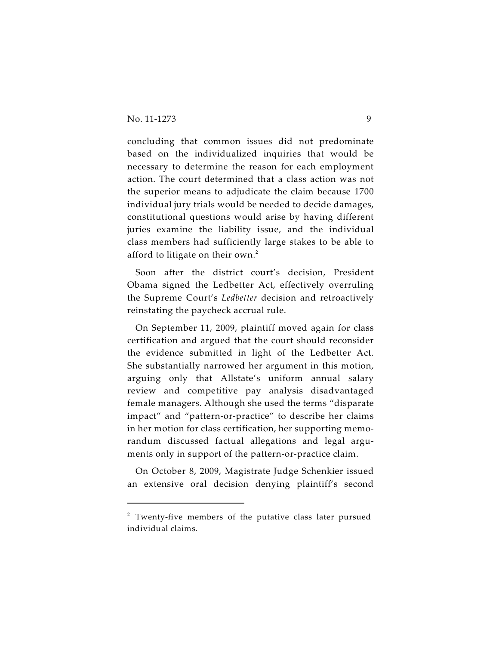concluding that common issues did not predominate based on the individualized inquiries that would be necessary to determine the reason for each employment action. The court determined that a class action was not the superior means to adjudicate the claim because 1700 individual jury trials would be needed to decide damages, constitutional questions would arise by having different juries examine the liability issue, and the individual class members had sufficiently large stakes to be able to afford to litigate on their own.<sup>2</sup>

Soon after the district court's decision, President Obama signed the Ledbetter Act, effectively overruling the Supreme Court's *Ledbetter* decision and retroactively reinstating the paycheck accrual rule.

On September 11, 2009, plaintiff moved again for class certification and argued that the court should reconsider the evidence submitted in light of the Ledbetter Act. She substantially narrowed her argument in this motion, arguing only that Allstate's uniform annual salary review and competitive pay analysis disadvantaged female managers. Although she used the terms "disparate impact" and "pattern-or-practice" to describe her claims in her motion for class certification, her supporting memorandum discussed factual allegations and legal arguments only in support of the pattern-or-practice claim.

On October 8, 2009, Magistrate Judge Schenkier issued an extensive oral decision denying plaintiff's second

 $2$  Twenty-five members of the putative class later pursued individual claims.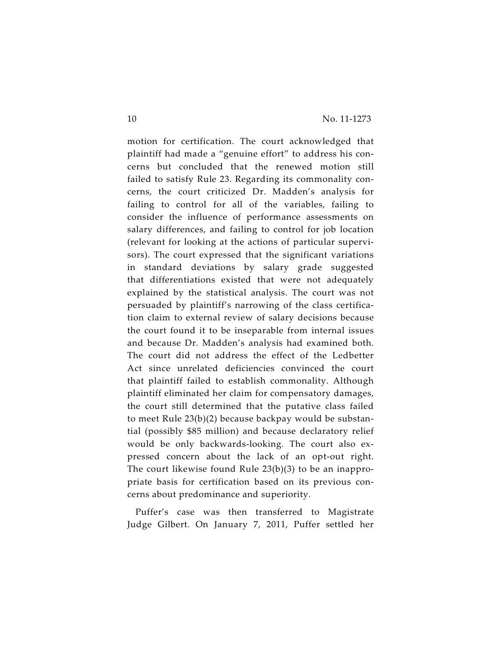motion for certification. The court acknowledged that plaintiff had made a "genuine effort" to address his concerns but concluded that the renewed motion still failed to satisfy Rule 23. Regarding its commonality concerns, the court criticized Dr. Madden's analysis for failing to control for all of the variables, failing to consider the influence of performance assessments on salary differences, and failing to control for job location (relevant for looking at the actions of particular supervisors). The court expressed that the significant variations in standard deviations by salary grade suggested that differentiations existed that were not adequately explained by the statistical analysis. The court was not persuaded by plaintiff's narrowing of the class certification claim to external review of salary decisions because the court found it to be inseparable from internal issues and because Dr. Madden's analysis had examined both. The court did not address the effect of the Ledbetter Act since unrelated deficiencies convinced the court that plaintiff failed to establish commonality. Although plaintiff eliminated her claim for compensatory damages, the court still determined that the putative class failed to meet Rule 23(b)(2) because backpay would be substantial (possibly \$85 million) and because declaratory relief would be only backwards-looking. The court also expressed concern about the lack of an opt-out right. The court likewise found Rule 23(b)(3) to be an inappropriate basis for certification based on its previous concerns about predominance and superiority.

Puffer's case was then transferred to Magistrate Judge Gilbert. On January 7, 2011, Puffer settled her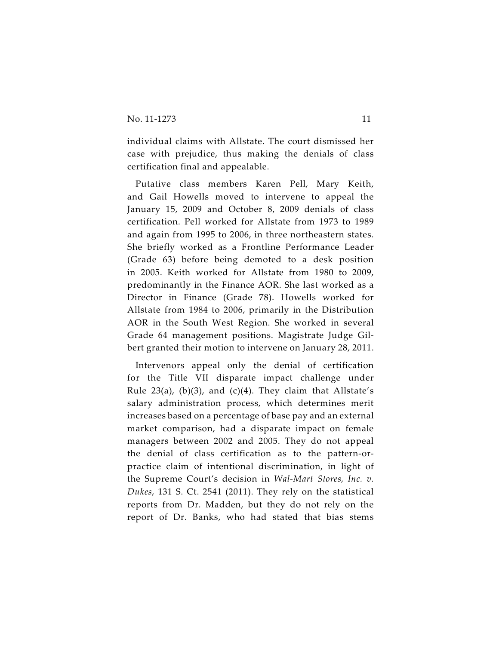individual claims with Allstate. The court dismissed her case with prejudice, thus making the denials of class certification final and appealable.

Putative class members Karen Pell, Mary Keith, and Gail Howells moved to intervene to appeal the January 15, 2009 and October 8, 2009 denials of class certification. Pell worked for Allstate from 1973 to 1989 and again from 1995 to 2006, in three northeastern states. She briefly worked as a Frontline Performance Leader (Grade 63) before being demoted to a desk position in 2005. Keith worked for Allstate from 1980 to 2009, predominantly in the Finance AOR. She last worked as a Director in Finance (Grade 78). Howells worked for Allstate from 1984 to 2006, primarily in the Distribution AOR in the South West Region. She worked in several Grade 64 management positions. Magistrate Judge Gilbert granted their motion to intervene on January 28, 2011.

Intervenors appeal only the denial of certification for the Title VII disparate impact challenge under Rule 23(a), (b)(3), and (c)(4). They claim that Allstate's salary administration process, which determines merit increases based on a percentage of base pay and an external market comparison, had a disparate impact on female managers between 2002 and 2005. They do not appeal the denial of class certification as to the pattern-orpractice claim of intentional discrimination, in light of the Supreme Court's decision in *Wal-Mart Stores, Inc. v. Dukes*, 131 S. Ct. 2541 (2011). They rely on the statistical reports from Dr. Madden, but they do not rely on the report of Dr. Banks, who had stated that bias stems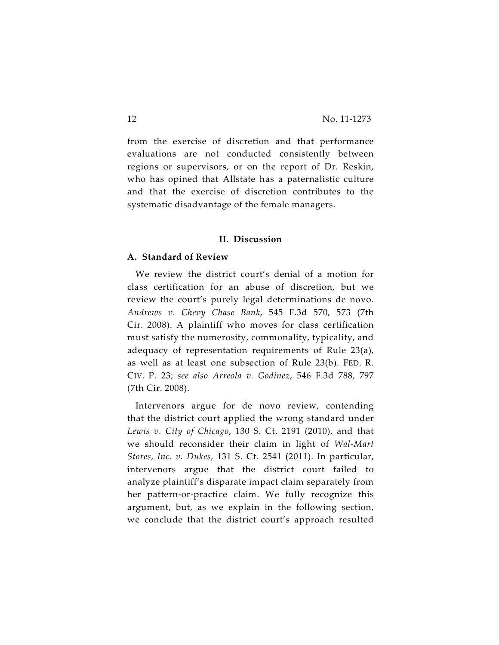from the exercise of discretion and that performance evaluations are not conducted consistently between regions or supervisors, or on the report of Dr. Reskin, who has opined that Allstate has a paternalistic culture and that the exercise of discretion contributes to the systematic disadvantage of the female managers.

#### **II. Discussion**

#### **A. Standard of Review**

We review the district court's denial of a motion for class certification for an abuse of discretion, but we review the court's purely legal determinations de novo. *Andrews v. Chevy Chase Bank*, 545 F.3d 570, 573 (7th Cir. 2008). A plaintiff who moves for class certification must satisfy the numerosity, commonality, typicality, and adequacy of representation requirements of Rule 23(a), as well as at least one subsection of Rule 23(b). FED. R. CIV. P. 23; *see also Arreola v. Godinez*, 546 F.3d 788, 797 (7th Cir. 2008).

Intervenors argue for de novo review, contending that the district court applied the wrong standard under *Lewis v. City of Chicago*, 130 S. Ct. 2191 (2010), and that we should reconsider their claim in light of *Wal-Mart Stores, Inc. v. Dukes*, 131 S. Ct. 2541 (2011). In particular, intervenors argue that the district court failed to analyze plaintiff's disparate impact claim separately from her pattern-or-practice claim. We fully recognize this argument, but, as we explain in the following section, we conclude that the district court's approach resulted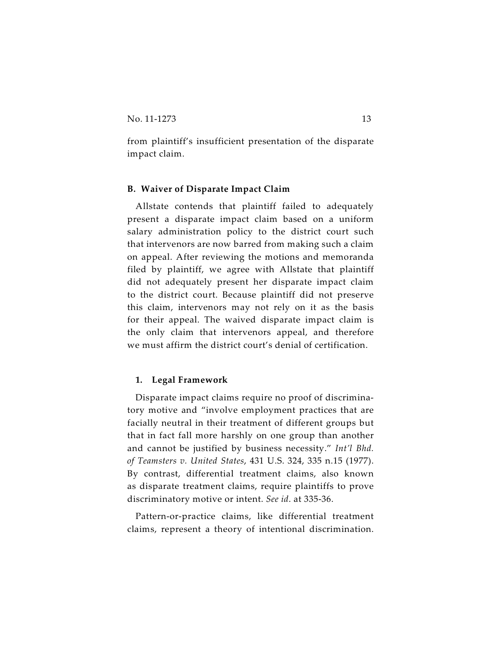from plaintiff's insufficient presentation of the disparate impact claim.

# **B. Waiver of Disparate Impact Claim**

Allstate contends that plaintiff failed to adequately present a disparate impact claim based on a uniform salary administration policy to the district court such that intervenors are now barred from making such a claim on appeal. After reviewing the motions and memoranda filed by plaintiff, we agree with Allstate that plaintiff did not adequately present her disparate impact claim to the district court. Because plaintiff did not preserve this claim, intervenors may not rely on it as the basis for their appeal. The waived disparate impact claim is the only claim that intervenors appeal, and therefore we must affirm the district court's denial of certification.

# **1. Legal Framework**

Disparate impact claims require no proof of discriminatory motive and "involve employment practices that are facially neutral in their treatment of different groups but that in fact fall more harshly on one group than another and cannot be justified by business necessity." *Int'l Bhd. of Teamsters v. United States*, 431 U.S. 324, 335 n.15 (1977). By contrast, differential treatment claims, also known as disparate treatment claims, require plaintiffs to prove discriminatory motive or intent. *See id*. at 335-36.

Pattern-or-practice claims, like differential treatment claims, represent a theory of intentional discrimination.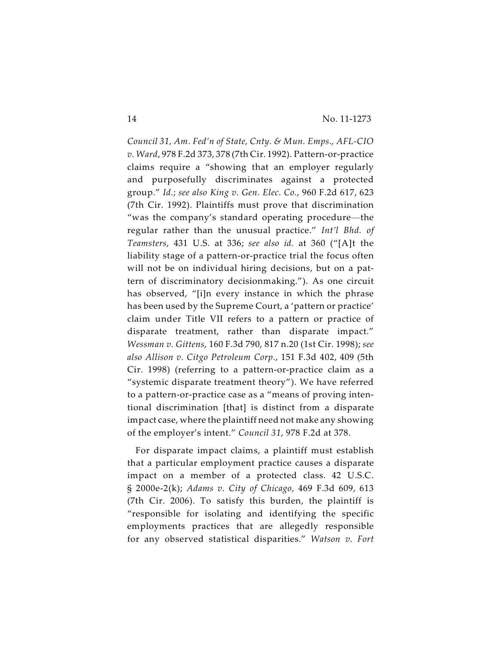*Council 31, Am. Fed'n of State, Cnty. & Mun. Emps., AFL-CIO v. Ward*, 978 F.2d 373, 378 (7th Cir. 1992). Pattern-or-practice claims require a "showing that an employer regularly and purposefully discriminates against a protected group." *Id.*; *see also King v. Gen. Elec. Co.*, 960 F.2d 617, 623 (7th Cir. 1992). Plaintiffs must prove that discrimination "was the company's standard operating procedure—the regular rather than the unusual practice." *Int'l Bhd. of Teamsters*, 431 U.S. at 336; *see also id.* at 360 ("[A]t the liability stage of a pattern-or-practice trial the focus often will not be on individual hiring decisions, but on a pattern of discriminatory decisionmaking."). As one circuit has observed, "[i]n every instance in which the phrase has been used by the Supreme Court, a 'pattern or practice' claim under Title VII refers to a pattern or practice of disparate treatment, rather than disparate impact." *Wessman v. Gittens*, 160 F.3d 790, 817 n.20 (1st Cir. 1998); *see also Allison v. Citgo Petroleum Corp.*, 151 F.3d 402, 409 (5th Cir. 1998) (referring to a pattern-or-practice claim as a "systemic disparate treatment theory"). We have referred to a pattern-or-practice case as a "means of proving intentional discrimination [that] is distinct from a disparate impact case, where the plaintiff need not make any showing of the employer's intent." *Council 31*, 978 F.2d at 378.

For disparate impact claims, a plaintiff must establish that a particular employment practice causes a disparate impact on a member of a protected class. 42 U.S.C. § 2000e-2(k); *Adams v. City of Chicago*, 469 F.3d 609, 613 (7th Cir. 2006). To satisfy this burden, the plaintiff is "responsible for isolating and identifying the specific employments practices that are allegedly responsible for any observed statistical disparities." *Watson v. Fort*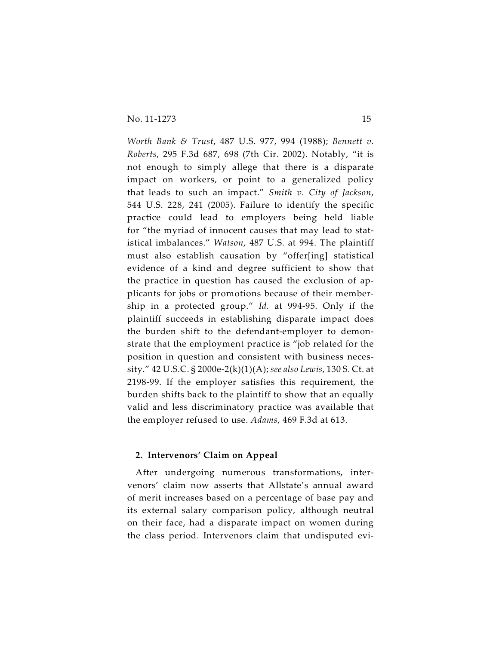*Worth Bank & Trust*, 487 U.S. 977, 994 (1988); *Bennett v. Roberts*, 295 F.3d 687, 698 (7th Cir. 2002). Notably, "it is not enough to simply allege that there is a disparate impact on workers, or point to a generalized policy that leads to such an impact." *Smith v. City of Jackson*, 544 U.S. 228, 241 (2005). Failure to identify the specific practice could lead to employers being held liable for "the myriad of innocent causes that may lead to statistical imbalances." *Watson*, 487 U.S. at 994. The plaintiff must also establish causation by "offer[ing] statistical evidence of a kind and degree sufficient to show that the practice in question has caused the exclusion of applicants for jobs or promotions because of their membership in a protected group." *Id.* at 994-95. Only if the plaintiff succeeds in establishing disparate impact does the burden shift to the defendant-employer to demonstrate that the employment practice is "job related for the position in question and consistent with business necessity." 42 U.S.C. § 2000e-2(k)(1)(A); *see also Lewis*, 130 S. Ct. at 2198-99. If the employer satisfies this requirement, the burden shifts back to the plaintiff to show that an equally valid and less discriminatory practice was available that the employer refused to use. *Adams*, 469 F.3d at 613.

# **2. Intervenors' Claim on Appeal**

After undergoing numerous transformations, intervenors' claim now asserts that Allstate's annual award of merit increases based on a percentage of base pay and its external salary comparison policy, although neutral on their face, had a disparate impact on women during the class period. Intervenors claim that undisputed evi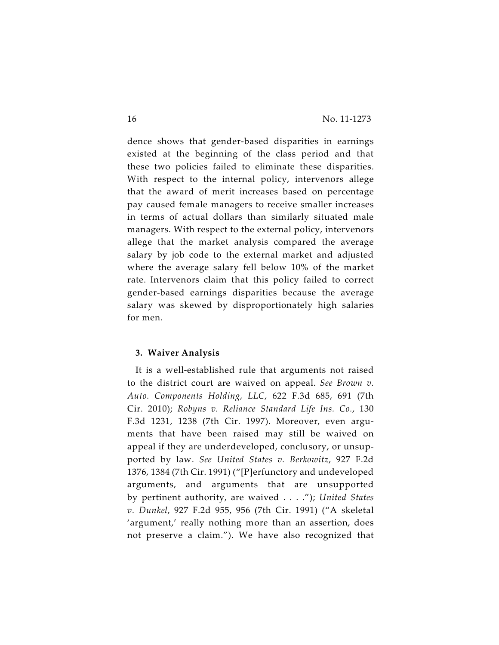dence shows that gender-based disparities in earnings existed at the beginning of the class period and that these two policies failed to eliminate these disparities. With respect to the internal policy, intervenors allege that the award of merit increases based on percentage pay caused female managers to receive smaller increases in terms of actual dollars than similarly situated male managers. With respect to the external policy, intervenors allege that the market analysis compared the average salary by job code to the external market and adjusted where the average salary fell below 10% of the market rate. Intervenors claim that this policy failed to correct gender-based earnings disparities because the average salary was skewed by disproportionately high salaries for men.

# **3. Waiver Analysis**

It is a well-established rule that arguments not raised to the district court are waived on appeal. *See Brown v. Auto. Components Holding, LLC*, 622 F.3d 685, 691 (7th Cir. 2010); *Robyns v. Reliance Standard Life Ins. Co.*, 130 F.3d 1231, 1238 (7th Cir. 1997). Moreover, even arguments that have been raised may still be waived on appeal if they are underdeveloped, conclusory, or unsupported by law. *See United States v. Berkowitz*, 927 F.2d 1376, 1384 (7th Cir. 1991) ("[P]erfunctory and undeveloped arguments, and arguments that are unsupported by pertinent authority, are waived . . . ."); *United States v. Dunkel*, 927 F.2d 955, 956 (7th Cir. 1991) ("A skeletal 'argument,' really nothing more than an assertion, does not preserve a claim."). We have also recognized that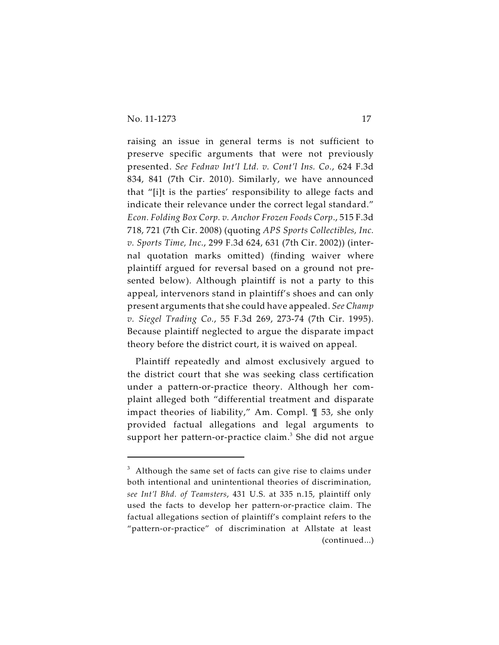raising an issue in general terms is not sufficient to preserve specific arguments that were not previously presented. *See Fednav Int'l Ltd. v. Cont'l Ins. Co.*, 624 F.3d 834, 841 (7th Cir. 2010). Similarly, we have announced that "[i]t is the parties' responsibility to allege facts and indicate their relevance under the correct legal standard." *Econ. Folding Box Corp. v. Anchor Frozen Foods Corp*., 515 F.3d 718, 721 (7th Cir. 2008) (quoting *APS Sports Collectibles, Inc. v. Sports Time, Inc.*, 299 F.3d 624, 631 (7th Cir. 2002)) (internal quotation marks omitted) (finding waiver where plaintiff argued for reversal based on a ground not presented below). Although plaintiff is not a party to this appeal, intervenors stand in plaintiff's shoes and can only present arguments that she could have appealed. *See Champ v. Siegel Trading Co.*, 55 F.3d 269, 273-74 (7th Cir. 1995). Because plaintiff neglected to argue the disparate impact theory before the district court, it is waived on appeal.

Plaintiff repeatedly and almost exclusively argued to the district court that she was seeking class certification under a pattern-or-practice theory. Although her complaint alleged both "differential treatment and disparate impact theories of liability," Am. Compl. ¶ 53, she only provided factual allegations and legal arguments to support her pattern-or-practice claim.<sup>3</sup> She did not argue

 $3$  Although the same set of facts can give rise to claims under both intentional and unintentional theories of discrimination, *see Int'l Bhd. of Teamsters*, 431 U.S. at 335 n.15, plaintiff only used the facts to develop her pattern-or-practice claim. The factual allegations section of plaintiff's complaint refers to the "pattern-or-practice" of discrimination at Allstate at least (continued...)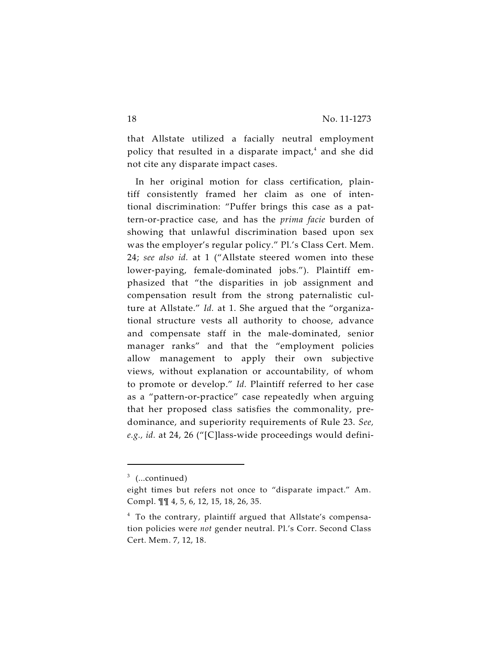that Allstate utilized a facially neutral employment policy that resulted in a disparate impact, $<sup>4</sup>$  and she did</sup> not cite any disparate impact cases.

In her original motion for class certification, plaintiff consistently framed her claim as one of intentional discrimination: "Puffer brings this case as a pattern-or-practice case, and has the *prima facie* burden of showing that unlawful discrimination based upon sex was the employer's regular policy." Pl.'s Class Cert. Mem. 24; *see also id.* at 1 ("Allstate steered women into these lower-paying, female-dominated jobs."). Plaintiff emphasized that "the disparities in job assignment and compensation result from the strong paternalistic culture at Allstate." *Id.* at 1. She argued that the "organizational structure vests all authority to choose, advance and compensate staff in the male-dominated, senior manager ranks" and that the "employment policies allow management to apply their own subjective views, without explanation or accountability, of whom to promote or develop." *Id.* Plaintiff referred to her case as a "pattern-or-practice" case repeatedly when arguing that her proposed class satisfies the commonality, predominance, and superiority requirements of Rule 23. *See, e.g., id.* at 24, 26 ("[C]lass-wide proceedings would defini-

 $3$  (...continued)

eight times but refers not once to "disparate impact." Am. Compl. ¶¶ 4, 5, 6, 12, 15, 18, 26, 35.

<sup>&</sup>lt;sup>4</sup> To the contrary, plaintiff argued that Allstate's compensation policies were *not* gender neutral. Pl.'s Corr. Second Class Cert. Mem. 7, 12, 18.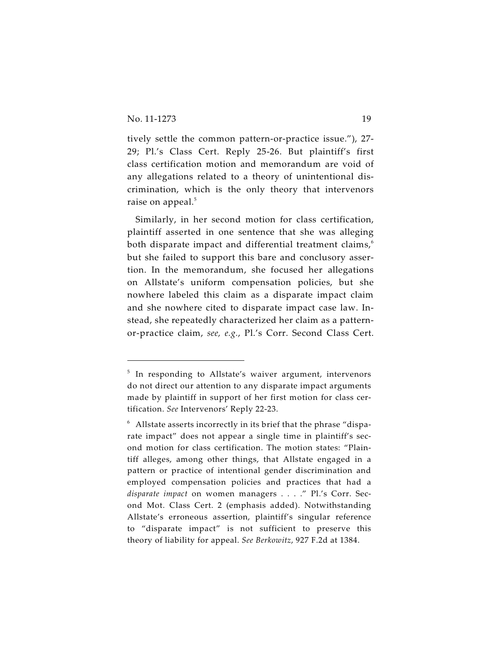tively settle the common pattern-or-practice issue."), 27- 29; Pl.'s Class Cert. Reply 25-26. But plaintiff's first class certification motion and memorandum are void of any allegations related to a theory of unintentional discrimination, which is the only theory that intervenors raise on appeal.<sup>5</sup>

Similarly, in her second motion for class certification, plaintiff asserted in one sentence that she was alleging both disparate impact and differential treatment claims, $<sup>6</sup>$ </sup> but she failed to support this bare and conclusory assertion. In the memorandum, she focused her allegations on Allstate's uniform compensation policies, but she nowhere labeled this claim as a disparate impact claim and she nowhere cited to disparate impact case law. Instead, she repeatedly characterized her claim as a patternor-practice claim, *see, e.g.*, Pl.'s Corr. Second Class Cert.

 $5$  In responding to Allstate's waiver argument, intervenors do not direct our attention to any disparate impact arguments made by plaintiff in support of her first motion for class certification. *See* Intervenors' Reply 22-23.

 $6$  Allstate asserts incorrectly in its brief that the phrase "disparate impact" does not appear a single time in plaintiff's second motion for class certification. The motion states: "Plaintiff alleges, among other things, that Allstate engaged in a pattern or practice of intentional gender discrimination and employed compensation policies and practices that had a *disparate impact* on women managers . . . ." Pl.'s Corr. Second Mot. Class Cert. 2 (emphasis added). Notwithstanding Allstate's erroneous assertion, plaintiff's singular reference to "disparate impact" is not sufficient to preserve this theory of liability for appeal. *See Berkowitz*, 927 F.2d at 1384.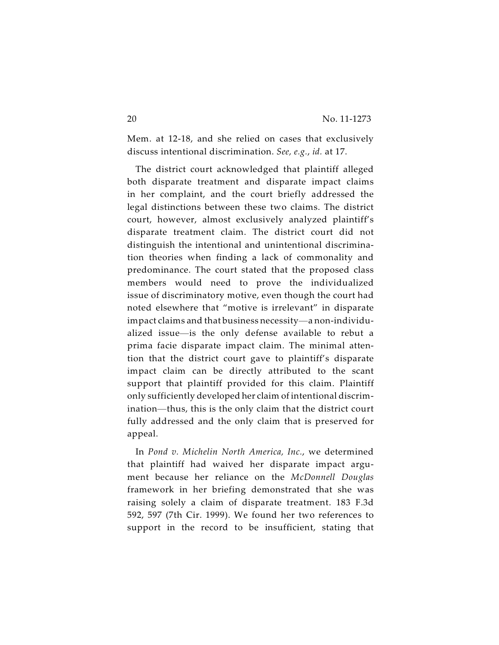Mem. at 12-18, and she relied on cases that exclusively discuss intentional discrimination. *See, e.g.*, *id.* at 17.

The district court acknowledged that plaintiff alleged both disparate treatment and disparate impact claims in her complaint, and the court briefly addressed the legal distinctions between these two claims. The district court, however, almost exclusively analyzed plaintiff's disparate treatment claim. The district court did not distinguish the intentional and unintentional discrimination theories when finding a lack of commonality and predominance. The court stated that the proposed class members would need to prove the individualized issue of discriminatory motive, even though the court had noted elsewhere that "motive is irrelevant" in disparate impact claims and that business necessity—a non-individualized issue—is the only defense available to rebut a prima facie disparate impact claim. The minimal attention that the district court gave to plaintiff's disparate impact claim can be directly attributed to the scant support that plaintiff provided for this claim. Plaintiff only sufficiently developed her claim of intentional discrimination—thus, this is the only claim that the district court fully addressed and the only claim that is preserved for appeal.

In *Pond v. Michelin North America, Inc.*, we determined that plaintiff had waived her disparate impact argument because her reliance on the *McDonnell Douglas* framework in her briefing demonstrated that she was raising solely a claim of disparate treatment. 183 F.3d 592, 597 (7th Cir. 1999). We found her two references to support in the record to be insufficient, stating that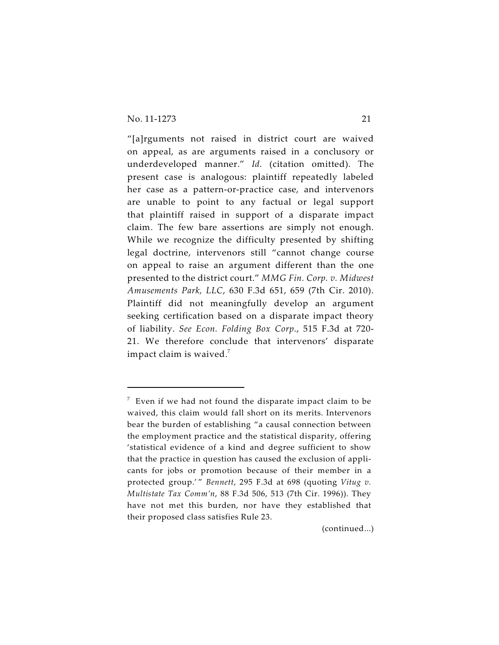"[a]rguments not raised in district court are waived on appeal, as are arguments raised in a conclusory or underdeveloped manner." *Id.* (citation omitted). The present case is analogous: plaintiff repeatedly labeled her case as a pattern-or-practice case, and intervenors are unable to point to any factual or legal support that plaintiff raised in support of a disparate impact claim. The few bare assertions are simply not enough. While we recognize the difficulty presented by shifting legal doctrine, intervenors still "cannot change course on appeal to raise an argument different than the one presented to the district court." *MMG Fin. Corp. v. Midwest Amusements Park, LLC*, 630 F.3d 651, 659 (7th Cir. 2010). Plaintiff did not meaningfully develop an argument seeking certification based on a disparate impact theory of liability. *See Econ. Folding Box Corp.*, 515 F.3d at 720- 21. We therefore conclude that intervenors' disparate impact claim is waived.<sup>7</sup>

(continued...)

 $\frac{7}{7}$  Even if we had not found the disparate impact claim to be waived, this claim would fall short on its merits. Intervenors bear the burden of establishing "a causal connection between the employment practice and the statistical disparity, offering 'statistical evidence of a kind and degree sufficient to show that the practice in question has caused the exclusion of applicants for jobs or promotion because of their member in a protected group.'" *Bennett*, 295 F.3d at 698 (quoting *Vitug v*. *Multistate Tax Comm'n*, 88 F.3d 506, 513 (7th Cir. 1996)). They have not met this burden, nor have they established that their proposed class satisfies Rule 23.